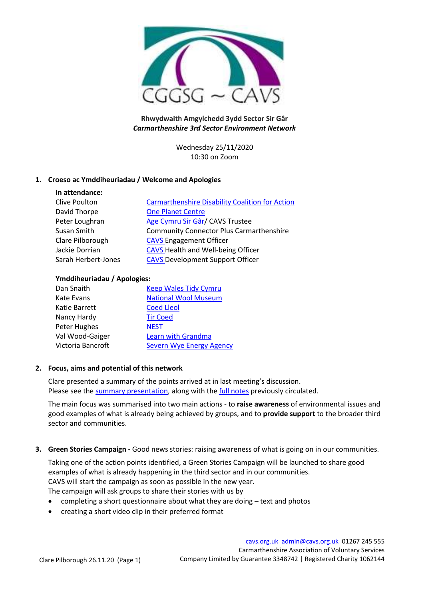

# **Rhwydwaith Amgylchedd 3ydd Sector Sir Gâr** *Carmarthenshire 3rd Sector Environment Network*

Wednesday 25/11/2020 10:30 on Zoom

# **1. Croeso ac Ymddiheuriadau / Welcome and Apologies**

| In attendance:      |                                                        |
|---------------------|--------------------------------------------------------|
| Clive Poulton       | <b>Carmarthenshire Disability Coalition for Action</b> |
| David Thorpe        | <b>One Planet Centre</b>                               |
| Peter Loughran      | Age Cymru Sir Gâr/ CAVS Trustee                        |
| Susan Smith         | <b>Community Connector Plus Carmarthenshire</b>        |
| Clare Pilborough    | <b>CAVS Engagement Officer</b>                         |
| Jackie Dorrian      | <b>CAVS</b> Health and Well-being Officer              |
| Sarah Herbert-Jones | <b>CAVS</b> Development Support Officer                |

### **Ymddiheuriadau / Apologies:**

| Dan Snaith        | <b>Keep Wales Tidy Cymru</b> |
|-------------------|------------------------------|
| Kate Evans        | <b>National Wool Museum</b>  |
| Katie Barrett     | <b>Coed Lleol</b>            |
| Nancy Hardy       | <b>Tir Coed</b>              |
| Peter Hughes      | <b>NEST</b>                  |
| Val Wood-Gaiger   | Learn with Grandma           |
| Victoria Bancroft | Severn Wye Energy Agency     |

# **2. Focus, aims and potential of this network**

Clare presented a summary of the points arrived at in last meeting's discussion. Please see the [summary presentation,](http://www.cavs.org.uk/wp-content/uploads/2020/11/Environment-network-focus-and-aims.pdf) along with th[e full notes](http://www.cavs.org.uk/wp-content/uploads/2020/11/Focus-of-3rd-Sector-Environment-Network.pdf) previously circulated.

The main focus was summarised into two main actions - to **raise awareness** of environmental issues and good examples of what is already being achieved by groups, and to **provide support** to the broader third sector and communities.

**3. Green Stories Campaign -** Good news stories: raising awareness of what is going on in our communities.

Taking one of the action points identified, a Green Stories Campaign will be launched to share good examples of what is already happening in the third sector and in our communities. CAVS will start the campaign as soon as possible in the new year. The campaign will ask groups to share their stories with us by

- completing a short questionnaire about what they are doing text and photos
- creating a short video clip in their preferred format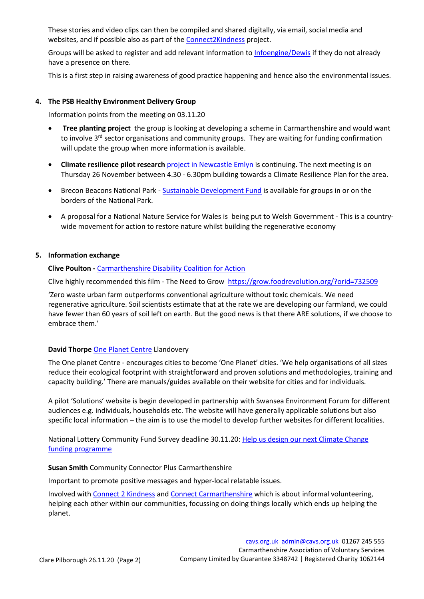These stories and video clips can then be compiled and shared digitally, via email, social media and websites, and if possible also as part of th[e Connect2Kindness](https://connecttokindness.wales/) project.

Groups will be asked to register and add relevant information to [Infoengine/Dewis](https://en.infoengine.cymru/) if they do not already have a presence on there.

This is a first step in raising awareness of good practice happening and hence also the environmental issues.

## **4. The PSB Healthy Environment Delivery Group**

Information points from the meeting on 03.11.20

- **Tree planting project** the group is looking at developing a scheme in Carmarthenshire and would want to involve 3<sup>rd</sup> sector organisations and community groups. They are waiting for funding confirmation will update the group when more information is available.
- **Climate resilience pilot research** [project in Newcastle Emlyn](http://www.cavs.org.uk/newcastle-emlyn-climate-resilience-pilot/) is continuing. The next meeting is on Thursday 26 November between 4.30 - 6.30pm building towards a Climate Resilience Plan for the area.
- Brecon Beacons National Park [Sustainable Development Fund](https://www.beacons-npa.gov.uk/communities/sustainability-2/substainable-development-fund/) is available for groups in or on the borders of the National Park.
- A proposal for a National Nature Service for Wales is being put to Welsh Government This is a countrywide movement for action to restore nature whilst building the regenerative economy

## **5. Information exchange**

**Clive Poulton -** [Carmarthenshire Disability Coalition for Action](http://www.cdcfa.org.uk/)

Clive highly recommended this film - The Need to Grow <https://grow.foodrevolution.org/?orid=732509>

'Zero waste urban farm outperforms conventional agriculture without toxic chemicals. We need regenerative agriculture. Soil scientists estimate that at the rate we are developing our farmland, we could have fewer than 60 years of soil left on earth. But the good news is that there ARE solutions, if we choose to embrace them.'

### **David Thorpe** [One Planet Centre](https://theoneplanetlife.com/) Llandovery

The One planet Centre - encourages cities to become 'One Planet' cities. 'We help organisations of all sizes reduce their ecological footprint with straightforward and proven solutions and methodologies, training and capacity building.' There are manuals/guides available on their website for cities and for individuals.

A pilot 'Solutions' website is begin developed in partnership with Swansea Environment Forum for different audiences e.g. individuals, households etc. The website will have generally applicable solutions but also specific local information – the aim is to use the model to develop further websites for different localities.

National Lottery Community Fund Survey deadline 30.11.20: Help us design our next Climate Change [funding programme](https://forms.office.com/Pages/ResponsePage.aspx?id=XuOJXZTutEeUCFzPTiSarhODu2h4zVlAsUq7APjGMJxUMUgzTlBYSFZRUk1RWUxRUUY2TkdIMDVVWC4u)

### **Susan Smith** Community Connector Plus Carmarthenshire

Important to promote positive messages and hyper-local relatable issues.

Involved wit[h Connect 2 Kindness](https://connecttokindness.wales/) an[d Connect Carmarthenshire](https://connectcarmarthenshire.org.uk/) which is about informal volunteering, helping each other within our communities, focussing on doing things locally which ends up helping the planet.